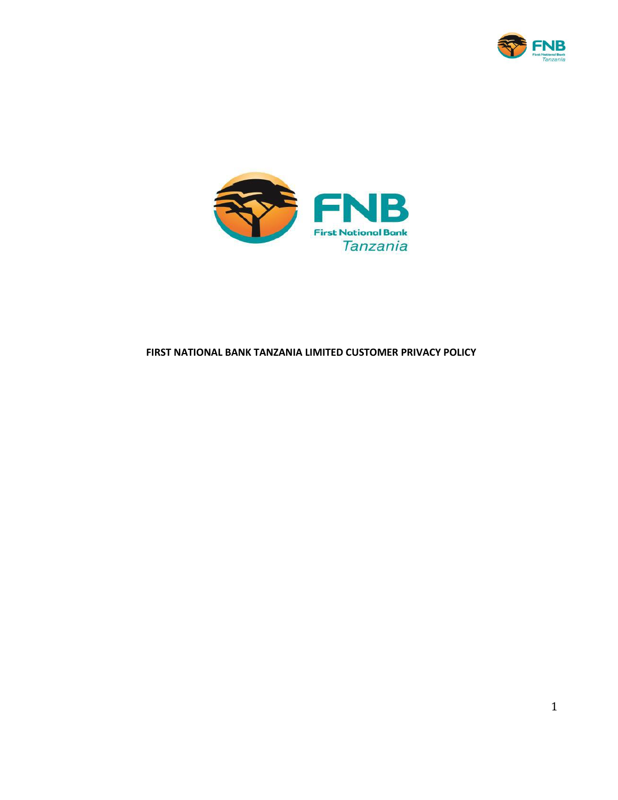



# **FIRST NATIONAL BANK TANZANIA LIMITED CUSTOMER PRIVACY POLICY**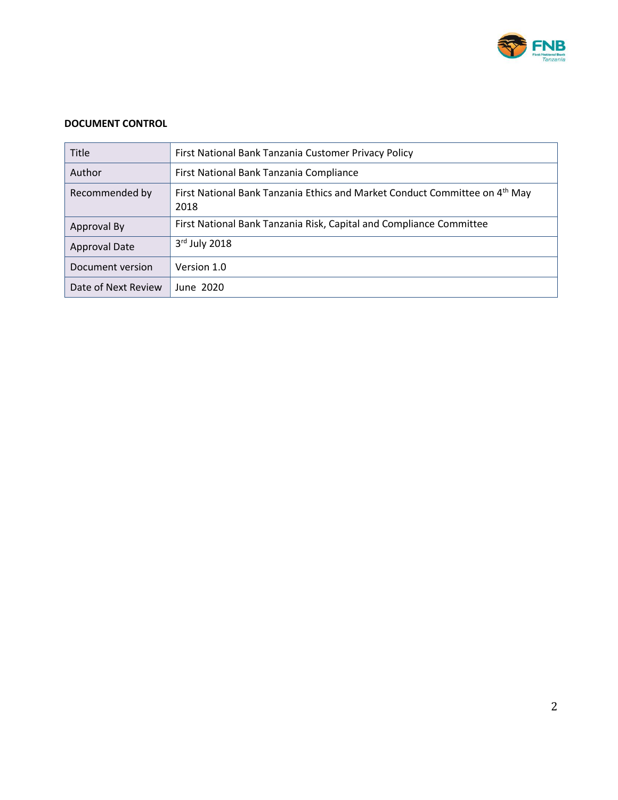

### **DOCUMENT CONTROL**

| <b>Title</b>         | First National Bank Tanzania Customer Privacy Policy                                            |
|----------------------|-------------------------------------------------------------------------------------------------|
| Author               | First National Bank Tanzania Compliance                                                         |
| Recommended by       | First National Bank Tanzania Ethics and Market Conduct Committee on 4 <sup>th</sup> May<br>2018 |
| Approval By          | First National Bank Tanzania Risk, Capital and Compliance Committee                             |
| <b>Approval Date</b> | $3rd$ July 2018                                                                                 |
| Document version     | Version 1.0                                                                                     |
| Date of Next Review  | June 2020                                                                                       |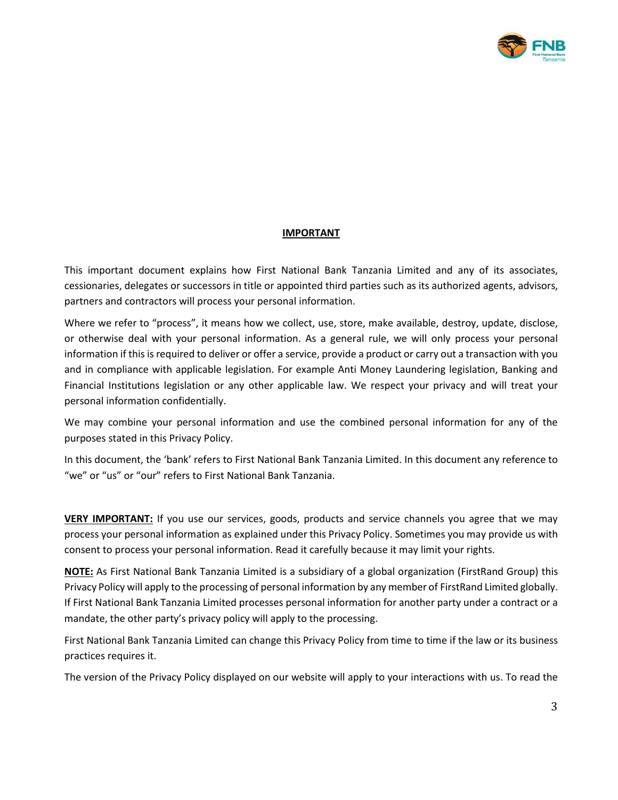

### **IMPORTANT**

This important document explains how First National Bank Tanzania Limited and any of its associates, cessionaries, delegates or successors in title or appointed third parties such as its authorized agents, advisors, partners and contractors will process your personal information.

Where we refer to "process", it means how we collect, use, store, make available, destroy, update, disclose, or otherwise deal with your personal information. As a general rule, we will only process your personal information if this is required to deliver or offer a service, provide a product or carry out a transaction with you and in compliance with applicable legislation. For example Anti Money Laundering legislation, Banking and Financial Institutions legislation or any other applicable law. We respect your privacy and will treat your personal information confidentially.

We may combine your personal information and use the combined personal information for any of the purposes stated in this Privacy Policy.

In this document, the 'bank' refers to First National Bank Tanzania Limited. In this document any reference to "we" or "us" or "our" refers to First National Bank Tanzania.

**VERY IMPORTANT:** If you use our services, goods, products and service channels you agree that we may process your personal information as explained under this Privacy Policy. Sometimes you may provide us with consent to process your personal information. Read it carefully because it may limit your rights.

**NOTE:** As First National Bank Tanzania Limited is a subsidiary of a global organization (FirstRand Group) this Privacy Policy will apply to the processing of personal information by any member of FirstRand Limited globally. If First National Bank Tanzania Limited processes personal information for another party under a contract or a mandate, the other party's privacy policy will apply to the processing.

First National Bank Tanzania Limited can change this Privacy Policy from time to time if the law or its business practices requires it.

The version of the Privacy Policy displayed on our website will apply to your interactions with us. To read the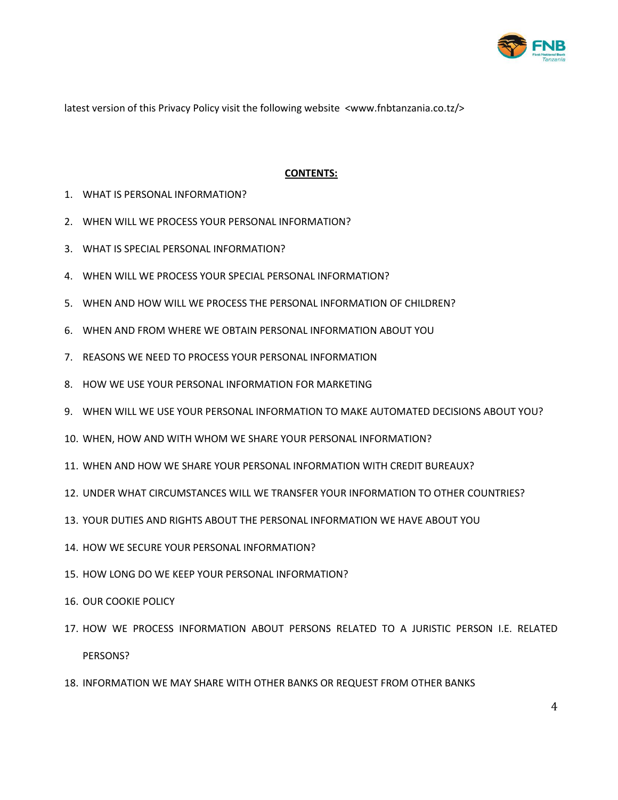

latest version of this Privacy Policy visit the following website <www.fnbtanzania.co.tz/>

#### **CONTENTS:**

- 1. WHAT IS PERSONAL INFORMATION?
- 2. WHEN WILL WE PROCESS YOUR PERSONAL INFORMATION?
- 3. WHAT IS SPECIAL PERSONAL INFORMATION?
- 4. WHEN WILL WE PROCESS YOUR SPECIAL PERSONAL INFORMATION?
- 5. WHEN AND HOW WILL WE PROCESS THE PERSONAL INFORMATION OF CHILDREN?
- 6. WHEN AND FROM WHERE WE OBTAIN PERSONAL INFORMATION ABOUT YOU
- 7. REASONS WE NEED TO PROCESS YOUR PERSONAL INFORMATION
- 8. HOW WE USE YOUR PERSONAL INFORMATION FOR MARKETING
- 9. WHEN WILL WE USE YOUR PERSONAL INFORMATION TO MAKE AUTOMATED DECISIONS ABOUT YOU?
- 10. WHEN, HOW AND WITH WHOM WE SHARE YOUR PERSONAL INFORMATION?
- 11. WHEN AND HOW WE SHARE YOUR PERSONAL INFORMATION WITH CREDIT BUREAUX?
- 12. UNDER WHAT CIRCUMSTANCES WILL WE TRANSFER YOUR INFORMATION TO OTHER COUNTRIES?
- 13. YOUR DUTIES AND RIGHTS ABOUT THE PERSONAL INFORMATION WE HAVE ABOUT YOU
- 14. HOW WE SECURE YOUR PERSONAL INFORMATION?
- 15. HOW LONG DO WE KEEP YOUR PERSONAL INFORMATION?
- 16. OUR COOKIE POLICY
- 17. HOW WE PROCESS INFORMATION ABOUT PERSONS RELATED TO A JURISTIC PERSON I.E. RELATED PERSONS?
- 18. INFORMATION WE MAY SHARE WITH OTHER BANKS OR REQUEST FROM OTHER BANKS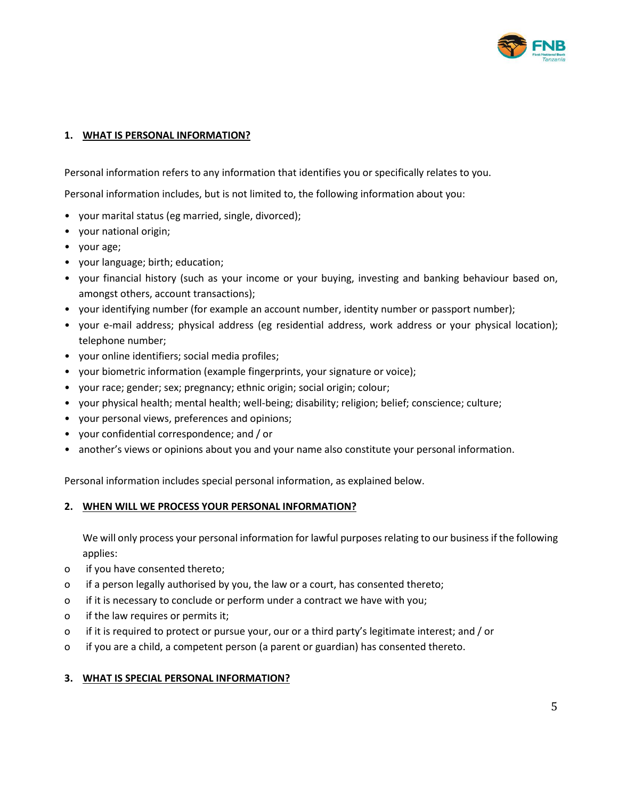

### **1. WHAT IS PERSONAL INFORMATION?**

Personal information refers to any information that identifies you or specifically relates to you.

Personal information includes, but is not limited to, the following information about you:

- your marital status (eg married, single, divorced);
- your national origin;
- your age;
- your language; birth; education;
- your financial history (such as your income or your buying, investing and banking behaviour based on, amongst others, account transactions);
- your identifying number (for example an account number, identity number or passport number);
- your e-mail address; physical address (eg residential address, work address or your physical location); telephone number;
- your online identifiers; social media profiles;
- your biometric information (example fingerprints, your signature or voice);
- your race; gender; sex; pregnancy; ethnic origin; social origin; colour;
- your physical health; mental health; well-being; disability; religion; belief; conscience; culture;
- your personal views, preferences and opinions;
- your confidential correspondence; and / or
- another's views or opinions about you and your name also constitute your personal information.

Personal information includes special personal information, as explained below.

### **2. WHEN WILL WE PROCESS YOUR PERSONAL INFORMATION?**

We will only process your personal information for lawful purposes relating to our business if the following applies:

- o if you have consented thereto;
- o if a person legally authorised by you, the law or a court, has consented thereto;
- o if it is necessary to conclude or perform under a contract we have with you;
- o if the law requires or permits it;
- o if it is required to protect or pursue your, our or a third party's legitimate interest; and / or
- o if you are a child, a competent person (a parent or guardian) has consented thereto.

### **3. WHAT IS SPECIAL PERSONAL INFORMATION?**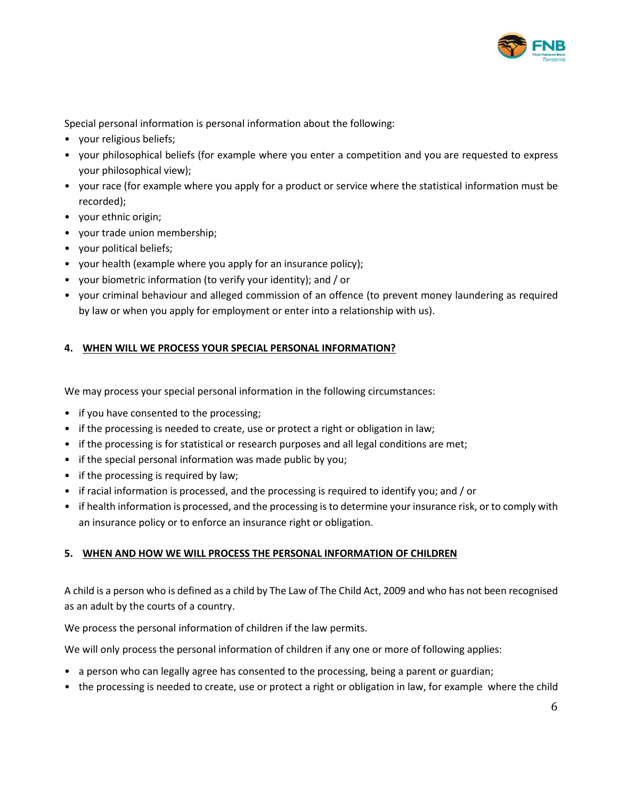

Special personal information is personal information about the following:

- your religious beliefs;
- your philosophical beliefs (for example where you enter a competition and you are requested to express your philosophical view);
- your race (for example where you apply for a product or service where the statistical information must be recorded);
- your ethnic origin;
- your trade union membership;
- your political beliefs;
- your health (example where you apply for an insurance policy);
- your biometric information (to verify your identity); and / or
- your criminal behaviour and alleged commission of an offence (to prevent money laundering as required by law or when you apply for employment or enter into a relationship with us).

### **4. WHEN WILL WE PROCESS YOUR SPECIAL PERSONAL INFORMATION?**

We may process your special personal information in the following circumstances:

- if you have consented to the processing;
- if the processing is needed to create, use or protect a right or obligation in law;
- if the processing is for statistical or research purposes and all legal conditions are met;
- if the special personal information was made public by you;
- if the processing is required by law;
- if racial information is processed, and the processing is required to identify you; and / or
- if health information is processed, and the processing is to determine your insurance risk, or to comply with an insurance policy or to enforce an insurance right or obligation.

### **5. WHEN AND HOW WE WILL PROCESS THE PERSONAL INFORMATION OF CHILDREN**

A child is a person who is defined as a child by The Law of The Child Act, 2009 and who has not been recognised as an adult by the courts of a country.

We process the personal information of children if the law permits.

We will only process the personal information of children if any one or more of following applies:

- a person who can legally agree has consented to the processing, being a parent or guardian;
- the processing is needed to create, use or protect a right or obligation in law, for example where the child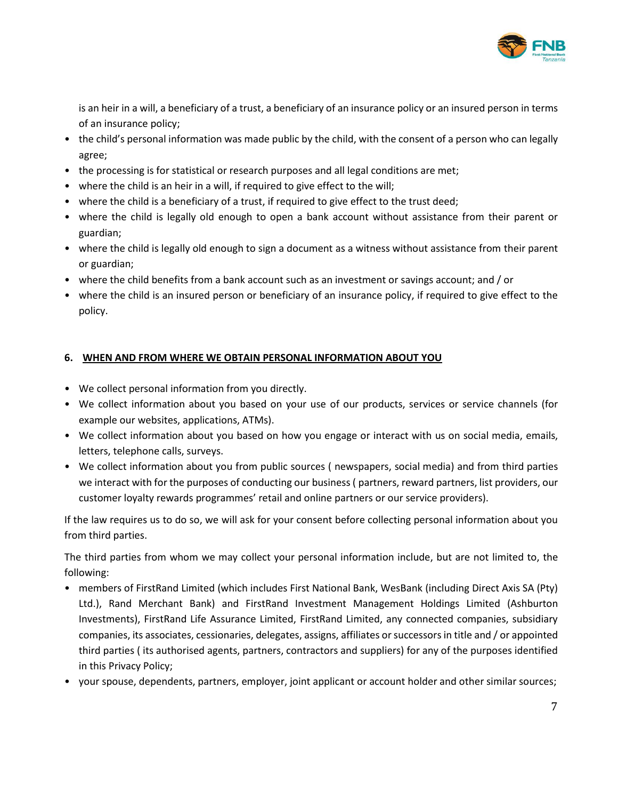

is an heir in a will, a beneficiary of a trust, a beneficiary of an insurance policy or an insured person in terms of an insurance policy;

- the child's personal information was made public by the child, with the consent of a person who can legally agree;
- the processing is for statistical or research purposes and all legal conditions are met;
- where the child is an heir in a will, if required to give effect to the will;
- where the child is a beneficiary of a trust, if required to give effect to the trust deed;
- where the child is legally old enough to open a bank account without assistance from their parent or guardian;
- where the child is legally old enough to sign a document as a witness without assistance from their parent or guardian;
- where the child benefits from a bank account such as an investment or savings account; and / or
- where the child is an insured person or beneficiary of an insurance policy, if required to give effect to the policy.

## **6. WHEN AND FROM WHERE WE OBTAIN PERSONAL INFORMATION ABOUT YOU**

- We collect personal information from you directly.
- We collect information about you based on your use of our products, services or service channels (for example our websites, applications, ATMs).
- We collect information about you based on how you engage or interact with us on social media, emails, letters, telephone calls, surveys.
- We collect information about you from public sources ( newspapers, social media) and from third parties we interact with for the purposes of conducting our business ( partners, reward partners, list providers, our customer loyalty rewards programmes' retail and online partners or our service providers).

If the law requires us to do so, we will ask for your consent before collecting personal information about you from third parties.

The third parties from whom we may collect your personal information include, but are not limited to, the following:

- members of FirstRand Limited (which includes First National Bank, WesBank (including Direct Axis SA (Pty) Ltd.), Rand Merchant Bank) and FirstRand Investment Management Holdings Limited (Ashburton Investments), FirstRand Life Assurance Limited, FirstRand Limited, any connected companies, subsidiary companies, its associates, cessionaries, delegates, assigns, affiliates or successors in title and / or appointed third parties ( its authorised agents, partners, contractors and suppliers) for any of the purposes identified in this Privacy Policy;
- your spouse, dependents, partners, employer, joint applicant or account holder and other similar sources;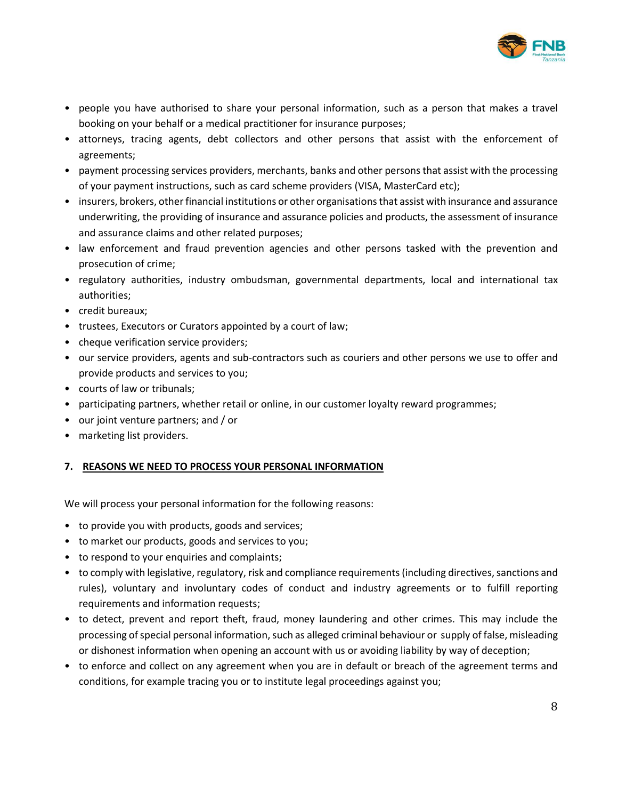

- people you have authorised to share your personal information, such as a person that makes a travel booking on your behalf or a medical practitioner for insurance purposes;
- attorneys, tracing agents, debt collectors and other persons that assist with the enforcement of agreements;
- payment processing services providers, merchants, banks and other persons that assist with the processing of your payment instructions, such as card scheme providers (VISA, MasterCard etc);
- insurers, brokers, other financial institutions or other organisations that assist with insurance and assurance underwriting, the providing of insurance and assurance policies and products, the assessment of insurance and assurance claims and other related purposes;
- law enforcement and fraud prevention agencies and other persons tasked with the prevention and prosecution of crime;
- regulatory authorities, industry ombudsman, governmental departments, local and international tax authorities;
- credit bureaux;
- trustees, Executors or Curators appointed by a court of law;
- cheque verification service providers;
- our service providers, agents and sub-contractors such as couriers and other persons we use to offer and provide products and services to you;
- courts of law or tribunals;
- participating partners, whether retail or online, in our customer loyalty reward programmes;
- our joint venture partners; and / or
- marketing list providers.

### **7. REASONS WE NEED TO PROCESS YOUR PERSONAL INFORMATION**

We will process your personal information for the following reasons:

- to provide you with products, goods and services;
- to market our products, goods and services to you;
- to respond to your enquiries and complaints;
- to comply with legislative, regulatory, risk and compliance requirements (including directives, sanctions and rules), voluntary and involuntary codes of conduct and industry agreements or to fulfill reporting requirements and information requests;
- to detect, prevent and report theft, fraud, money laundering and other crimes. This may include the processing of special personal information, such as alleged criminal behaviour or supply of false, misleading or dishonest information when opening an account with us or avoiding liability by way of deception;
- to enforce and collect on any agreement when you are in default or breach of the agreement terms and conditions, for example tracing you or to institute legal proceedings against you;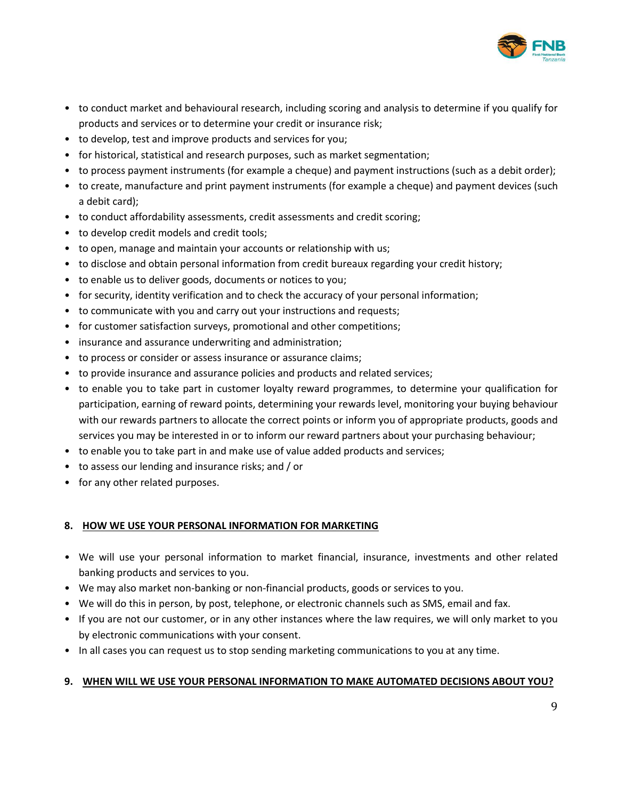

- to conduct market and behavioural research, including scoring and analysis to determine if you qualify for products and services or to determine your credit or insurance risk;
- to develop, test and improve products and services for you;
- for historical, statistical and research purposes, such as market segmentation;
- to process payment instruments (for example a cheque) and payment instructions (such as a debit order);
- to create, manufacture and print payment instruments (for example a cheque) and payment devices (such a debit card);
- to conduct affordability assessments, credit assessments and credit scoring;
- to develop credit models and credit tools;
- to open, manage and maintain your accounts or relationship with us;
- to disclose and obtain personal information from credit bureaux regarding your credit history;
- to enable us to deliver goods, documents or notices to you;
- for security, identity verification and to check the accuracy of your personal information;
- to communicate with you and carry out your instructions and requests;
- for customer satisfaction surveys, promotional and other competitions;
- insurance and assurance underwriting and administration;
- to process or consider or assess insurance or assurance claims;
- to provide insurance and assurance policies and products and related services;
- to enable you to take part in customer loyalty reward programmes, to determine your qualification for participation, earning of reward points, determining your rewards level, monitoring your buying behaviour with our rewards partners to allocate the correct points or inform you of appropriate products, goods and services you may be interested in or to inform our reward partners about your purchasing behaviour;
- to enable you to take part in and make use of value added products and services;
- to assess our lending and insurance risks; and / or
- for any other related purposes.

### **8. HOW WE USE YOUR PERSONAL INFORMATION FOR MARKETING**

- We will use your personal information to market financial, insurance, investments and other related banking products and services to you.
- We may also market non-banking or non-financial products, goods or services to you.
- We will do this in person, by post, telephone, or electronic channels such as SMS, email and fax.
- If you are not our customer, or in any other instances where the law requires, we will only market to you by electronic communications with your consent.
- In all cases you can request us to stop sending marketing communications to you at any time.

## **9. WHEN WILL WE USE YOUR PERSONAL INFORMATION TO MAKE AUTOMATED DECISIONS ABOUT YOU?**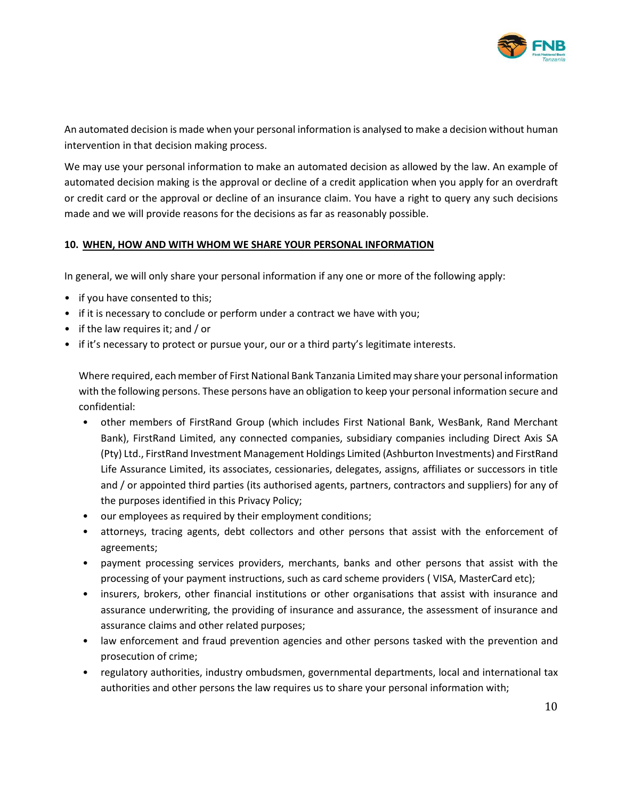

An automated decision is made when your personal information is analysed to make a decision without human intervention in that decision making process.

We may use your personal information to make an automated decision as allowed by the law. An example of automated decision making is the approval or decline of a credit application when you apply for an overdraft or credit card or the approval or decline of an insurance claim. You have a right to query any such decisions made and we will provide reasons for the decisions as far as reasonably possible.

### **10. WHEN, HOW AND WITH WHOM WE SHARE YOUR PERSONAL INFORMATION**

In general, we will only share your personal information if any one or more of the following apply:

- if you have consented to this;
- if it is necessary to conclude or perform under a contract we have with you;
- if the law requires it; and / or
- if it's necessary to protect or pursue your, our or a third party's legitimate interests.

Where required, each member of First National Bank Tanzania Limited may share your personal information with the following persons. These persons have an obligation to keep your personal information secure and confidential:

- other members of FirstRand Group (which includes First National Bank, WesBank, Rand Merchant Bank), FirstRand Limited, any connected companies, subsidiary companies including Direct Axis SA (Pty) Ltd., FirstRand Investment Management Holdings Limited (Ashburton Investments) and FirstRand Life Assurance Limited, its associates, cessionaries, delegates, assigns, affiliates or successors in title and / or appointed third parties (its authorised agents, partners, contractors and suppliers) for any of the purposes identified in this Privacy Policy;
- our employees as required by their employment conditions;
- attorneys, tracing agents, debt collectors and other persons that assist with the enforcement of agreements;
- payment processing services providers, merchants, banks and other persons that assist with the processing of your payment instructions, such as card scheme providers ( VISA, MasterCard etc);
- insurers, brokers, other financial institutions or other organisations that assist with insurance and assurance underwriting, the providing of insurance and assurance, the assessment of insurance and assurance claims and other related purposes;
- law enforcement and fraud prevention agencies and other persons tasked with the prevention and prosecution of crime;
- regulatory authorities, industry ombudsmen, governmental departments, local and international tax authorities and other persons the law requires us to share your personal information with;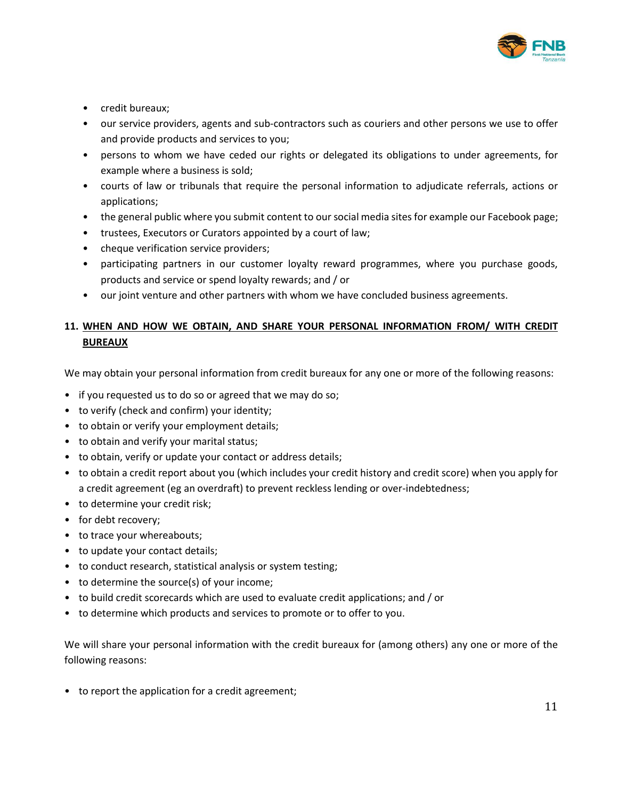

- credit bureaux;
- our service providers, agents and sub-contractors such as couriers and other persons we use to offer and provide products and services to you;
- persons to whom we have ceded our rights or delegated its obligations to under agreements, for example where a business is sold;
- courts of law or tribunals that require the personal information to adjudicate referrals, actions or applications;
- the general public where you submit content to our social media sites for example our Facebook page;
- trustees, Executors or Curators appointed by a court of law;
- cheque verification service providers;
- participating partners in our customer loyalty reward programmes, where you purchase goods, products and service or spend loyalty rewards; and / or
- our joint venture and other partners with whom we have concluded business agreements.

# **11. WHEN AND HOW WE OBTAIN, AND SHARE YOUR PERSONAL INFORMATION FROM/ WITH CREDIT BUREAUX**

We may obtain your personal information from credit bureaux for any one or more of the following reasons:

- if you requested us to do so or agreed that we may do so;
- to verify (check and confirm) your identity;
- to obtain or verify your employment details;
- to obtain and verify your marital status;
- to obtain, verify or update your contact or address details;
- to obtain a credit report about you (which includes your credit history and credit score) when you apply for a credit agreement (eg an overdraft) to prevent reckless lending or over-indebtedness;
- to determine your credit risk;
- for debt recovery;
- to trace your whereabouts;
- to update your contact details;
- to conduct research, statistical analysis or system testing;
- to determine the source(s) of your income;
- to build credit scorecards which are used to evaluate credit applications; and / or
- to determine which products and services to promote or to offer to you.

We will share your personal information with the credit bureaux for (among others) any one or more of the following reasons:

• to report the application for a credit agreement;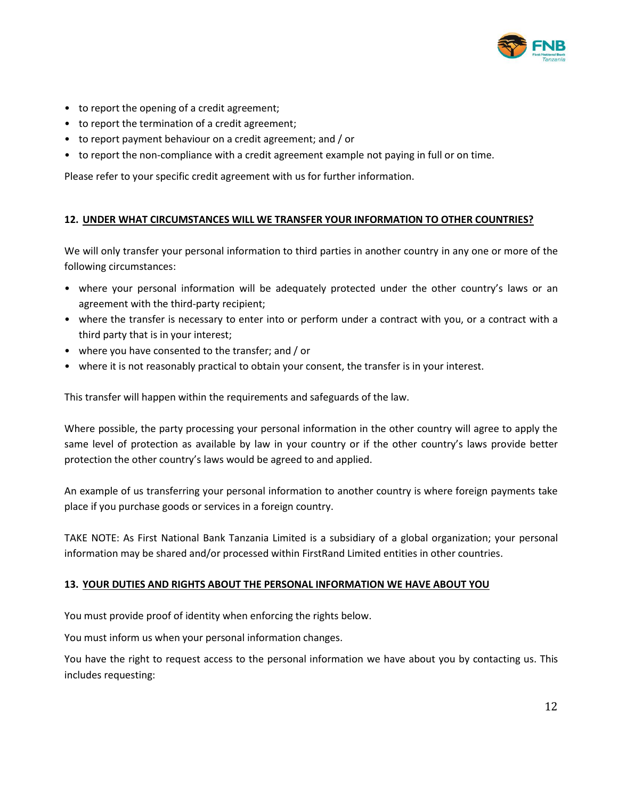

- to report the opening of a credit agreement;
- to report the termination of a credit agreement;
- to report payment behaviour on a credit agreement; and / or
- to report the non-compliance with a credit agreement example not paying in full or on time.

Please refer to your specific credit agreement with us for further information.

### **12. UNDER WHAT CIRCUMSTANCES WILL WE TRANSFER YOUR INFORMATION TO OTHER COUNTRIES?**

We will only transfer your personal information to third parties in another country in any one or more of the following circumstances:

- where your personal information will be adequately protected under the other country's laws or an agreement with the third-party recipient;
- where the transfer is necessary to enter into or perform under a contract with you, or a contract with a third party that is in your interest;
- where you have consented to the transfer; and / or
- where it is not reasonably practical to obtain your consent, the transfer is in your interest.

This transfer will happen within the requirements and safeguards of the law.

Where possible, the party processing your personal information in the other country will agree to apply the same level of protection as available by law in your country or if the other country's laws provide better protection the other country's laws would be agreed to and applied.

An example of us transferring your personal information to another country is where foreign payments take place if you purchase goods or services in a foreign country.

TAKE NOTE: As First National Bank Tanzania Limited is a subsidiary of a global organization; your personal information may be shared and/or processed within FirstRand Limited entities in other countries.

### **13. YOUR DUTIES AND RIGHTS ABOUT THE PERSONAL INFORMATION WE HAVE ABOUT YOU**

You must provide proof of identity when enforcing the rights below.

You must inform us when your personal information changes.

You have the right to request access to the personal information we have about you by contacting us. This includes requesting: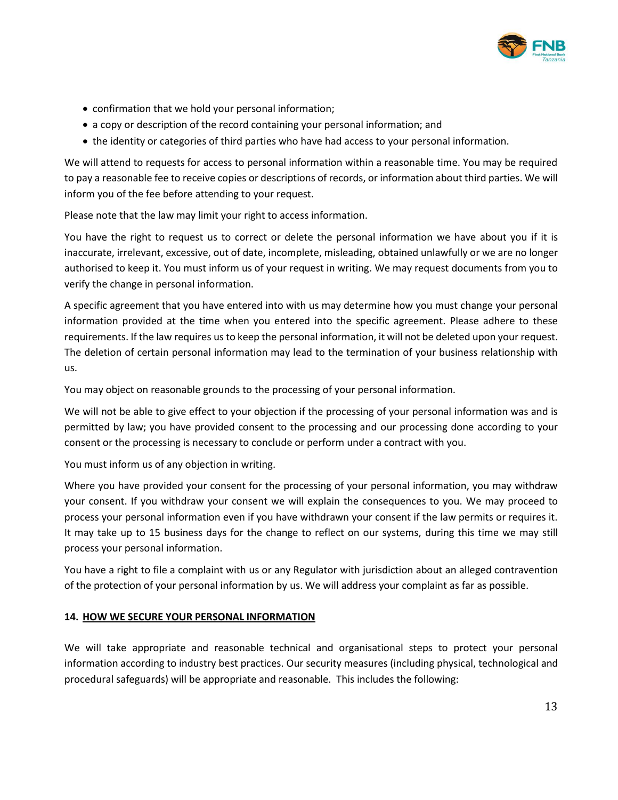

- confirmation that we hold your personal information;
- a copy or description of the record containing your personal information; and
- the identity or categories of third parties who have had access to your personal information.

We will attend to requests for access to personal information within a reasonable time. You may be required to pay a reasonable fee to receive copies or descriptions of records, or information about third parties. We will inform you of the fee before attending to your request.

Please note that the law may limit your right to access information.

You have the right to request us to correct or delete the personal information we have about you if it is inaccurate, irrelevant, excessive, out of date, incomplete, misleading, obtained unlawfully or we are no longer authorised to keep it. You must inform us of your request in writing. We may request documents from you to verify the change in personal information.

A specific agreement that you have entered into with us may determine how you must change your personal information provided at the time when you entered into the specific agreement. Please adhere to these requirements. If the law requires us to keep the personal information, it will not be deleted upon your request. The deletion of certain personal information may lead to the termination of your business relationship with us.

You may object on reasonable grounds to the processing of your personal information.

We will not be able to give effect to your objection if the processing of your personal information was and is permitted by law; you have provided consent to the processing and our processing done according to your consent or the processing is necessary to conclude or perform under a contract with you.

You must inform us of any objection in writing.

Where you have provided your consent for the processing of your personal information, you may withdraw your consent. If you withdraw your consent we will explain the consequences to you. We may proceed to process your personal information even if you have withdrawn your consent if the law permits or requires it. It may take up to 15 business days for the change to reflect on our systems, during this time we may still process your personal information.

You have a right to file a complaint with us or any Regulator with jurisdiction about an alleged contravention of the protection of your personal information by us. We will address your complaint as far as possible.

### **14. HOW WE SECURE YOUR PERSONAL INFORMATION**

We will take appropriate and reasonable technical and organisational steps to protect your personal information according to industry best practices. Our security measures (including physical, technological and procedural safeguards) will be appropriate and reasonable. This includes the following: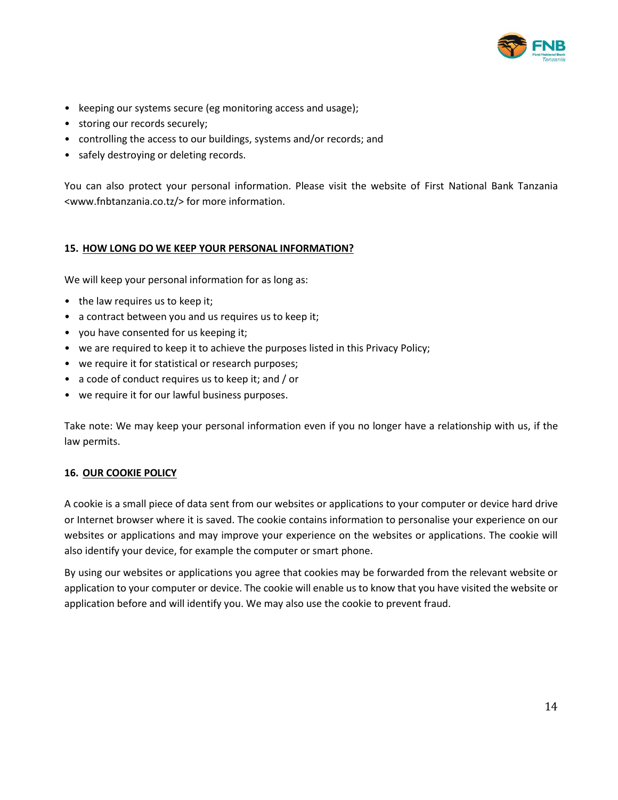

- keeping our systems secure (eg monitoring access and usage);
- storing our records securely;
- controlling the access to our buildings, systems and/or records; and
- safely destroying or deleting records.

You can also protect your personal information. Please visit the website of First National Bank Tanzania <www.fnbtanzania.co.tz/> for more information.

### **15. HOW LONG DO WE KEEP YOUR PERSONAL INFORMATION?**

We will keep your personal information for as long as:

- the law requires us to keep it;
- a contract between you and us requires us to keep it;
- you have consented for us keeping it;
- we are required to keep it to achieve the purposes listed in this Privacy Policy;
- we require it for statistical or research purposes;
- a code of conduct requires us to keep it; and / or
- we require it for our lawful business purposes.

Take note: We may keep your personal information even if you no longer have a relationship with us, if the law permits.

### **16. OUR COOKIE POLICY**

A cookie is a small piece of data sent from our websites or applications to your computer or device hard drive or Internet browser where it is saved. The cookie contains information to personalise your experience on our websites or applications and may improve your experience on the websites or applications. The cookie will also identify your device, for example the computer or smart phone.

By using our websites or applications you agree that cookies may be forwarded from the relevant website or application to your computer or device. The cookie will enable us to know that you have visited the website or application before and will identify you. We may also use the cookie to prevent fraud.